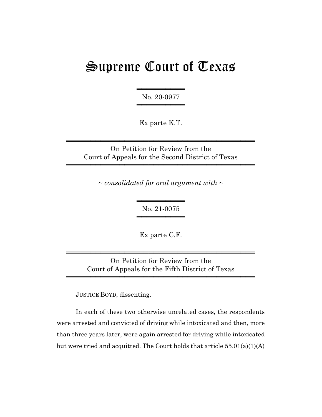## Supreme Court of Texas

═══════════════════ No. 20-0977 ══════════════════════

Ex parte K.T.

On Petition for Review from the Court of Appeals for the Second District of Texas

═══════════════════════════════════════

═══════════════════════════════════════

 $\sim$  consolidated for oral argument with  $\sim$ 

══════════════════ No. 21-0075 ══════════════════════

Ex parte C.F.

On Petition for Review from the Court of Appeals for the Fifth District of Texas

═══════════════════════════════════════

═══════════════════════════════════════

JUSTICE BOYD, dissenting.

In each of these two otherwise unrelated cases, the respondents were arrested and convicted of driving while intoxicated and then, more than three years later, were again arrested for driving while intoxicated but were tried and acquitted. The Court holds that article 55.01(a)(1)(A)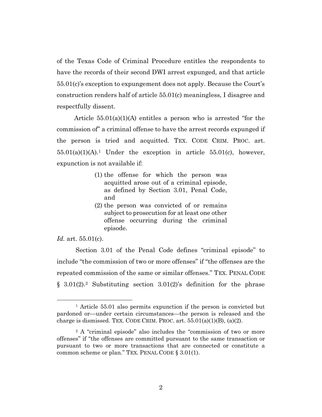of the Texas Code of Criminal Procedure entitles the respondents to have the records of their second DWI arrest expunged, and that article 55.01(c)'s exception to expungement does not apply. Because the Court's construction renders half of article 55.01(c) meaningless, I disagree and respectfully dissent.

Article 55.01(a)(1)(A) entitles a person who is arrested "for the commission of" a criminal offense to have the arrest records expunged if the person is tried and acquitted. TEX. CODE CRIM. PROC. art.  $55.01(a)(1)(A).$ <sup>1</sup> Under the exception in article  $55.01(c)$ , however, expunction is not available if:

- (1) the offense for which the person was acquitted arose out of a criminal episode, as defined by Section 3.01, Penal Code, and
- (2) the person was convicted of or remains subject to prosecution for at least one other offense occurring during the criminal episode.

Id. art. 55.01(c).

Section 3.01 of the Penal Code defines "criminal episode" to include "the commission of two or more offenses" if "the offenses are the repeated commission of the same or similar offenses." TEX. PENAL CODE § 3.01(2).<sup>2</sup> Substituting section 3.01(2)'s definition for the phrase

<sup>&</sup>lt;sup>1</sup> Article 55.01 also permits expunction if the person is convicted but pardoned or—under certain circumstances—the person is released and the charge is dismissed. TEX. CODE CRIM. PROC. art.  $55.01(a)(1)(B)$ ,  $(a)(2)$ .

<sup>2</sup> A "criminal episode" also includes the "commission of two or more offenses" if "the offenses are committed pursuant to the same transaction or pursuant to two or more transactions that are connected or constitute a common scheme or plan." TEX. PENAL CODE § 3.01(1).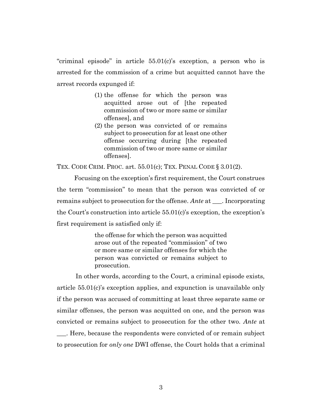"criminal episode" in article 55.01(c)'s exception, a person who is arrested for the commission of a crime but acquitted cannot have the arrest records expunged if:

- (1) the offense for which the person was acquitted arose out of [the repeated commission of two or more same or similar offenses], and
- (2) the person was convicted of or remains subject to prosecution for at least one other offense occurring during [the repeated commission of two or more same or similar offenses].

TEX. CODE CRIM. PROC. art. 55.01(c); TEX. PENAL CODE § 3.01(2).

Focusing on the exception's first requirement, the Court construes the term "commission" to mean that the person was convicted of or remains subject to prosecution for the offense. Ante at \_\_\_. Incorporating the Court's construction into article 55.01(c)'s exception, the exception's first requirement is satisfied only if:

> the offense for which the person was acquitted arose out of the repeated "commission" of two or more same or similar offenses for which the person was convicted or remains subject to prosecution.

In other words, according to the Court, a criminal episode exists, article 55.01(c)'s exception applies, and expunction is unavailable only if the person was accused of committing at least three separate same or similar offenses, the person was acquitted on one, and the person was convicted or remains subject to prosecution for the other two. Ante at \_\_\_. Here, because the respondents were convicted of or remain subject to prosecution for only one DWI offense, the Court holds that a criminal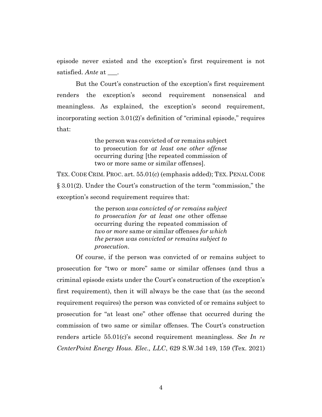episode never existed and the exception's first requirement is not satisfied. Ante at \_\_\_.

But the Court's construction of the exception's first requirement renders the exception's second requirement nonsensical and meaningless. As explained, the exception's second requirement, incorporating section 3.01(2)'s definition of "criminal episode," requires that:

> the person was convicted of or remains subject to prosecution for at least one other offense occurring during [the repeated commission of two or more same or similar offenses].

TEX. CODE CRIM. PROC. art. 55.01(c) (emphasis added); TEX. PENAL CODE § 3.01(2). Under the Court's construction of the term "commission," the exception's second requirement requires that:

> the person was convicted of or remains subject to prosecution for at least one other offense occurring during the repeated commission of two or more same or similar offenses for which the person was convicted or remains subject to prosecution.

Of course, if the person was convicted of or remains subject to prosecution for "two or more" same or similar offenses (and thus a criminal episode exists under the Court's construction of the exception's first requirement), then it will always be the case that (as the second requirement requires) the person was convicted of or remains subject to prosecution for "at least one" other offense that occurred during the commission of two same or similar offenses. The Court's construction renders article 55.01(c)'s second requirement meaningless. See In re CenterPoint Energy Hous. Elec., LLC, 629 S.W.3d 149, 159 (Tex. 2021)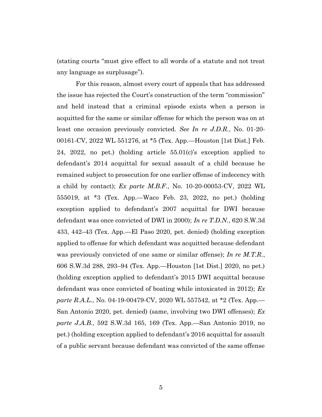(stating courts "must give effect to all words of a statute and not treat any language as surplusage").

For this reason, almost every court of appeals that has addressed the issue has rejected the Court's construction of the term "commission" and held instead that a criminal episode exists when a person is acquitted for the same or similar offense for which the person was on at least one occasion previously convicted. See In re J.D.R., No. 01-20-00161-CV, 2022 WL 551276, at \*5 (Tex. App.—Houston [1st Dist.] Feb. 24, 2022, no pet.) (holding article 55.01(c)'s exception applied to defendant's 2014 acquittal for sexual assault of a child because he remained subject to prosecution for one earlier offense of indecency with a child by contact); Ex parte M.B.F., No. 10-20-00053-CV, 2022 WL 555019, at \*3 (Tex. App.—Waco Feb. 23, 2022, no pet.) (holding exception applied to defendant's 2007 acquittal for DWI because defendant was once convicted of DWI in 2000); In re T.D.N., 620 S.W.3d 433, 442–43 (Tex. App.—El Paso 2020, pet. denied) (holding exception applied to offense for which defendant was acquitted because defendant was previously convicted of one same or similar offense); In re M.T.R., 606 S.W.3d 288, 293–94 (Tex. App.—Houston [1st Dist.] 2020, no pet.) (holding exception applied to defendant's 2015 DWI acquittal because defendant was once convicted of boating while intoxicated in 2012);  $Ex$ parte R.A.L., No. 04-19-00479-CV, 2020 WL 557542, at \*2 (Tex. App.— San Antonio 2020, pet. denied) (same, involving two DWI offenses);  $Ex$ parte J.A.B., 592 S.W.3d 165, 169 (Tex. App.—San Antonio 2019, no pet.) (holding exception applied to defendant's 2016 acquittal for assault of a public servant because defendant was convicted of the same offense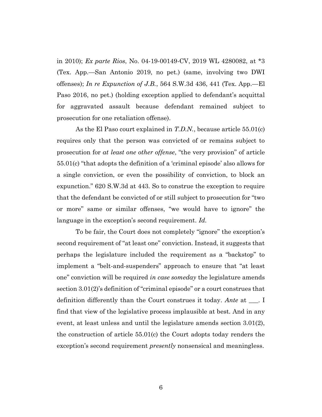in 2010); Ex parte Rios, No. 04-19-00149-CV, 2019 WL 4280082, at \*3 (Tex. App.—San Antonio 2019, no pet.) (same, involving two DWI offenses); In re Expunction of J.B., 564 S.W.3d 436, 441 (Tex. App.—El Paso 2016, no pet.) (holding exception applied to defendant's acquittal for aggravated assault because defendant remained subject to prosecution for one retaliation offense).

As the El Paso court explained in T.D.N., because article 55.01(c) requires only that the person was convicted of or remains subject to prosecution for at least one other offense, "the very provision" of article 55.01(c) "that adopts the definition of a 'criminal episode' also allows for a single conviction, or even the possibility of conviction, to block an expunction." 620 S.W.3d at 443. So to construe the exception to require that the defendant be convicted of or still subject to prosecution for "two or more" same or similar offenses, "we would have to ignore" the language in the exception's second requirement. Id.

To be fair, the Court does not completely "ignore" the exception's second requirement of "at least one" conviction. Instead, it suggests that perhaps the legislature included the requirement as a "backstop" to implement a "belt-and-suspenders" approach to ensure that "at least one" conviction will be required in case someday the legislature amends section 3.01(2)'s definition of "criminal episode" or a court construes that definition differently than the Court construes it today. Ante at \_\_\_. I find that view of the legislative process implausible at best. And in any event, at least unless and until the legislature amends section 3.01(2), the construction of article 55.01(c) the Court adopts today renders the exception's second requirement *presently* nonsensical and meaningless.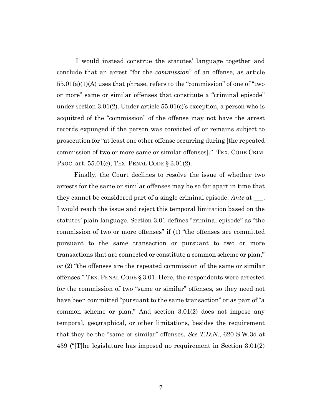I would instead construe the statutes' language together and conclude that an arrest "for the commission" of an offense, as article 55.01(a)(1)(A) uses that phrase, refers to the "commission" of one of "two or more" same or similar offenses that constitute a "criminal episode" under section 3.01(2). Under article 55.01(c)'s exception, a person who is acquitted of the "commission" of the offense may not have the arrest records expunged if the person was convicted of or remains subject to prosecution for "at least one other offense occurring during [the repeated commission of two or more same or similar offenses]." TEX. CODE CRIM. PROC. art. 55.01(c); TEX. PENAL CODE § 3.01(2).

Finally, the Court declines to resolve the issue of whether two arrests for the same or similar offenses may be so far apart in time that they cannot be considered part of a single criminal episode. Ante at \_\_\_. I would reach the issue and reject this temporal limitation based on the statutes' plain language. Section 3.01 defines "criminal episode" as "the commission of two or more offenses" if (1) "the offenses are committed pursuant to the same transaction or pursuant to two or more transactions that are connected or constitute a common scheme or plan," or (2) "the offenses are the repeated commission of the same or similar offenses." TEX. PENAL CODE § 3.01. Here, the respondents were arrested for the commission of two "same or similar" offenses, so they need not have been committed "pursuant to the same transaction" or as part of "a common scheme or plan." And section 3.01(2) does not impose any temporal, geographical, or other limitations, besides the requirement that they be the "same or similar" offenses. See T.D.N., 620 S.W.3d at 439 ("[T]he legislature has imposed no requirement in Section 3.01(2)